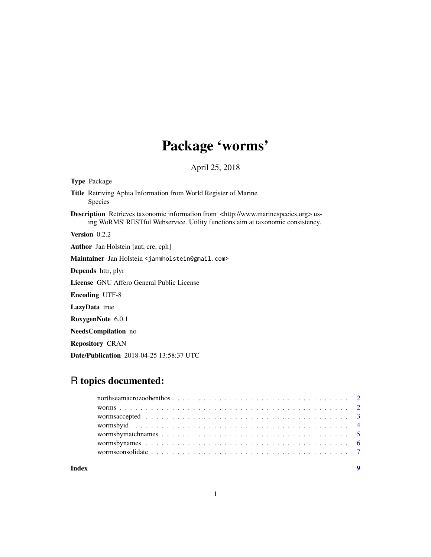## Package 'worms'

April 25, 2018

Type Package Title Retriving Aphia Information from World Register of Marine Species Description Retrieves taxonomic information from <http://www.marinespecies.org>using WoRMS' RESTful Webservice. Utility functions aim at taxonomic consistency. Version 0.2.2 Author Jan Holstein [aut, cre, cph] Maintainer Jan Holstein <janmholstein@gmail.com> Depends httr, plyr License GNU Affero General Public License Encoding UTF-8 LazyData true RoxygenNote 6.0.1 NeedsCompilation no Repository CRAN Date/Publication 2018-04-25 13:58:37 UTC

### R topics documented:

1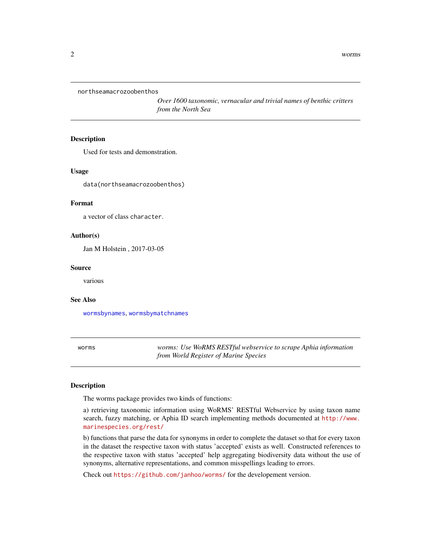<span id="page-1-0"></span>northseamacrozoobenthos

*Over 1600 taxonomic, vernacular and trivial names of benthic critters from the North Sea*

#### Description

Used for tests and demonstration.

#### Usage

data(northseamacrozoobenthos)

#### Format

a vector of class character.

#### Author(s)

Jan M Holstein , 2017-03-05

#### Source

various

#### See Also

[wormsbynames](#page-5-1), [wormsbymatchnames](#page-4-1)

worms *worms: Use WoRMS RESTful webservice to scrape Aphia information from World Register of Marine Species*

#### Description

The worms package provides two kinds of functions:

a) retrieving taxonomic information using WoRMS' RESTful Webservice by using taxon name search, fuzzy matching, or Aphia ID search implementing methods documented at [http://www.](http://www.marinespecies.org/rest/) [marinespecies.org/rest/](http://www.marinespecies.org/rest/)

b) functions that parse the data for synonyms in order to complete the dataset so that for every taxon in the dataset the respective taxon with status 'accepted' exists as well. Constructed references to the respective taxon with status 'accepted' help aggregating biodiversity data without the use of synonyms, alternative representations, and common misspellings leading to errors.

Check out <https://github.com/janhoo/worms/> for the developement version.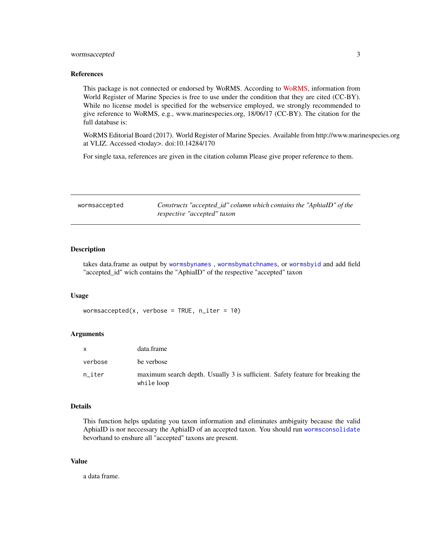#### <span id="page-2-0"></span>wormsaccepted 3

#### References

This package is not connected or endorsed by WoRMS. According to [WoRMS,](http://www.marinespecies.org) information from World Register of Marine Species is free to use under the condition that they are cited (CC-BY). While no license model is specified for the webservice employed, we strongly recommended to give reference to WoRMS, e.g., www.marinespecies.org, 18/06/17 (CC-BY). The citation for the full database is:

WoRMS Editorial Board (2017). World Register of Marine Species. Available from http://www.marinespecies.org at VLIZ. Accessed <today>. doi:10.14284/170

For single taxa, references are given in the citation column Please give proper reference to them.

<span id="page-2-1"></span>

| wormsaccepted | Constructs "accepted_id" column which contains the "AphiaID" of the |
|---------------|---------------------------------------------------------------------|
|               | respective "accepted" taxon                                         |

#### Description

takes data.frame as output by [wormsbynames](#page-5-1) , [wormsbymatchnames](#page-4-1), or [wormsbyid](#page-3-1) and add field "accepted\_id" wich contains the "AphiaID" of the respective "accepted" taxon

#### Usage

wormsaccepted(x, verbose = TRUE, n\_iter = 10)

#### Arguments

|         | data.frame                                                                                   |
|---------|----------------------------------------------------------------------------------------------|
| verbose | be verbose                                                                                   |
| n iter  | maximum search depth. Usually 3 is sufficient. Safety feature for breaking the<br>while loop |

#### Details

This function helps updating you taxon information and eliminates ambiguity because the valid AphiaID is nor neccessary the AphiaID of an accepted taxon. You should run [wormsconsolidate](#page-6-1) bevorhand to enshure all "accepted" taxons are present.

#### Value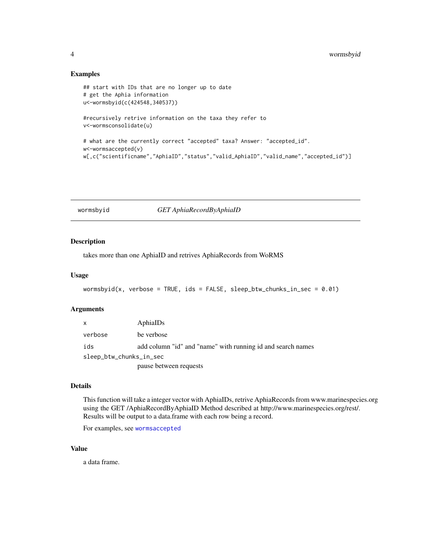#### Examples

```
## start with IDs that are no longer up to date
# get the Aphia information
u<-wormsbyid(c(424548,340537))
#recursively retrive information on the taxa they refer to
v<-wormsconsolidate(u)
# what are the currently correct "accepted" taxa? Answer: "accepted_id".
w<-wormsaccepted(v)
w[,c("scientificname","AphiaID","status","valid_AphiaID","valid_name","accepted_id")]
```
#### <span id="page-3-1"></span>wormsbyid *GET AphiaRecordByAphiaID*

#### Description

takes more than one AphiaID and retrives AphiaRecords from WoRMS

#### Usage

```
wormsbyid(x, verbose = TRUE, ids = FALSE, sleep_btw_chunks_in_sec = 0.01)
```
#### Arguments

| $\mathsf{x}$            | AphiaIDs                                                    |
|-------------------------|-------------------------------------------------------------|
| verbose                 | be verbose                                                  |
| ids                     | add column "id" and "name" with running id and search names |
| sleep_btw_chunks_in_sec |                                                             |
|                         | pause between requests                                      |

#### Details

This function will take a integer vector with AphiaIDs, retrive AphiaRecords from www.marinespecies.org using the GET /AphiaRecordByAphiaID Method described at http://www.marinespecies.org/rest/. Results will be output to a data.frame with each row being a record.

For examples, see [wormsaccepted](#page-2-1)

#### Value

<span id="page-3-0"></span>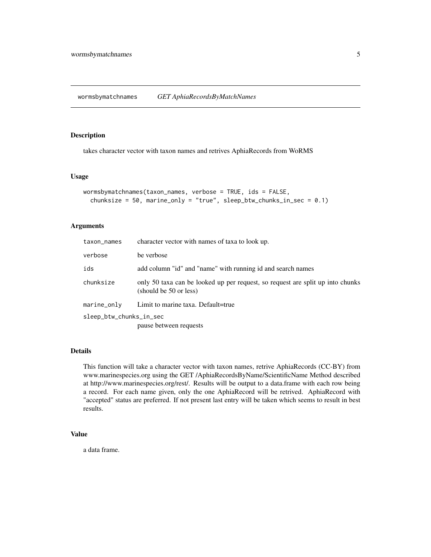<span id="page-4-1"></span><span id="page-4-0"></span>wormsbymatchnames *GET AphiaRecordsByMatchNames*

#### Description

takes character vector with taxon names and retrives AphiaRecords from WoRMS

#### Usage

```
wormsbymatchnames(taxon_names, verbose = TRUE, ids = FALSE,
  chunksize = 50, marine_only = "true", sleep_btw_chunks_in_sec = 0.1)
```
#### Arguments

| taxon_names             | character vector with names of taxa to look up.                                                          |
|-------------------------|----------------------------------------------------------------------------------------------------------|
| verbose                 | be verbose                                                                                               |
| ids                     | add column "id" and "name" with running id and search names                                              |
| chunksize               | only 50 taxa can be looked up per request, so request are split up into chunks<br>(should be 50 or less) |
| $marine_$ only          | Limit to marine taxa. Default=true                                                                       |
| sleep_btw_chunks_in_sec | pause between requests                                                                                   |

#### Details

This function will take a character vector with taxon names, retrive AphiaRecords (CC-BY) from www.marinespecies.org using the GET /AphiaRecordsByName/ScientificName Method described at http://www.marinespecies.org/rest/. Results will be output to a data.frame with each row being a record. For each name given, only the one AphiaRecord will be retrived. AphiaRecord with "accepted" status are preferred. If not present last entry will be taken which seems to result in best results.

#### Value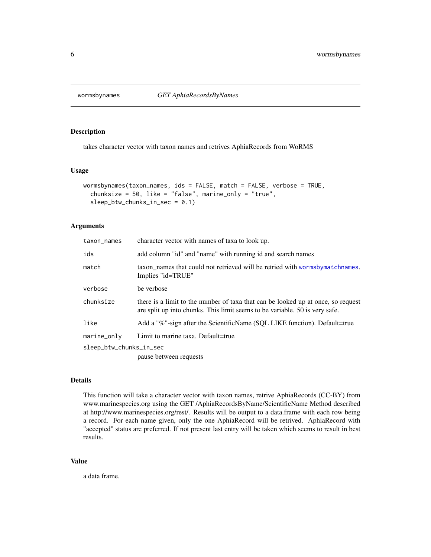<span id="page-5-1"></span><span id="page-5-0"></span>

#### Description

takes character vector with taxon names and retrives AphiaRecords from WoRMS

#### Usage

```
wormsbynames(taxon_names, ids = FALSE, match = FALSE, verbose = TRUE,
  chunksize = 50, like = "false", marine_only = "true",
  sleep_btw_chunks_in_sec = 0.1)
```
#### Arguments

| taxon_names             | character vector with names of taxa to look up.                                                                                                                 |
|-------------------------|-----------------------------------------------------------------------------------------------------------------------------------------------------------------|
| ids                     | add column "id" and "name" with running id and search names                                                                                                     |
| match                   | taxon names that could not retrieved will be retried with wormsby matchnames.<br>Implies "id=TRUE"                                                              |
| verbose                 | be verbose                                                                                                                                                      |
| chunksize               | there is a limit to the number of taxa that can be looked up at once, so request<br>are split up into chunks. This limit seems to be variable. 50 is very safe. |
| like                    | Add a "%"-sign after the ScientificName (SQL LIKE function). Default=true                                                                                       |
| marine_only             | Limit to marine taxa. Default=true                                                                                                                              |
| sleep_btw_chunks_in_sec |                                                                                                                                                                 |
|                         | pause between requests                                                                                                                                          |

#### Details

This function will take a character vector with taxon names, retrive AphiaRecords (CC-BY) from www.marinespecies.org using the GET /AphiaRecordsByName/ScientificName Method described at http://www.marinespecies.org/rest/. Results will be output to a data.frame with each row being a record. For each name given, only the one AphiaRecord will be retrived. AphiaRecord with "accepted" status are preferred. If not present last entry will be taken which seems to result in best results.

#### Value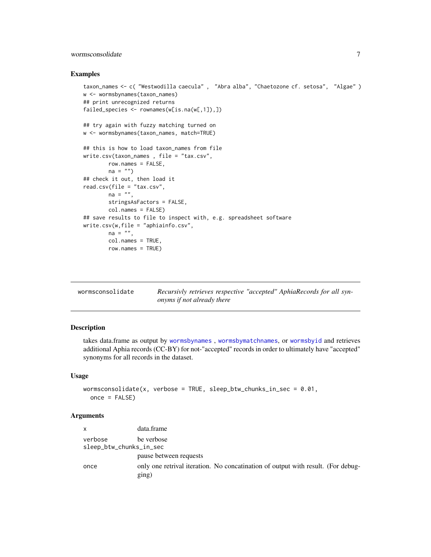#### <span id="page-6-0"></span>wormsconsolidate 7

#### Examples

```
taxon_names <- c( "Westwodilla caecula" , "Abra alba", "Chaetozone cf. setosa", "Algae" )
w <- wormsbynames(taxon_names)
## print unrecognized returns
failed_species <- rownames(w[is.na(w[,1]),])
## try again with fuzzy matching turned on
w <- wormsbynames(taxon_names, match=TRUE)
## this is how to load taxon_names from file
write.csv(taxon_names , file = "tax.csv",
       row.names = FALSE,
       na = "")## check it out, then load it
read.csv(file = "tax.csv",
       na = "",stringsAsFactors = FALSE,
       col.names = FALSE)
## save results to file to inspect with, e.g. spreadsheet software
write.csv(w,file = "aphiainfo.csv",
       na = "",col.names = TRUE,
       row.names = TRUE)
```
<span id="page-6-1"></span>

| wormsconsolidate | Recursivly retrieves respective "accepted" AphiaRecords for all syn- |
|------------------|----------------------------------------------------------------------|
|                  | <i>onyms if not already there</i>                                    |

#### Description

takes data.frame as output by [wormsbynames](#page-5-1) , [wormsbymatchnames](#page-4-1), or [wormsbyid](#page-3-1) and retrieves additional Aphia records (CC-BY) for not-"accepted" records in order to ultimately have "accepted" synonyms for all records in the dataset.

#### Usage

```
wormsconsolidate(x, verbose = TRUE, sleep_btw_chunks_in_sec = 0.01,
 once = FALSE)
```
#### **Arguments**

| $\mathsf{x}$            | data.frame                                                                                |
|-------------------------|-------------------------------------------------------------------------------------------|
| verbose                 | be verbose                                                                                |
| sleep_btw_chunks_in_sec |                                                                                           |
|                         | pause between requests                                                                    |
| once                    | only one retrival iteration. No concatination of output with result. (For debug-<br>ging) |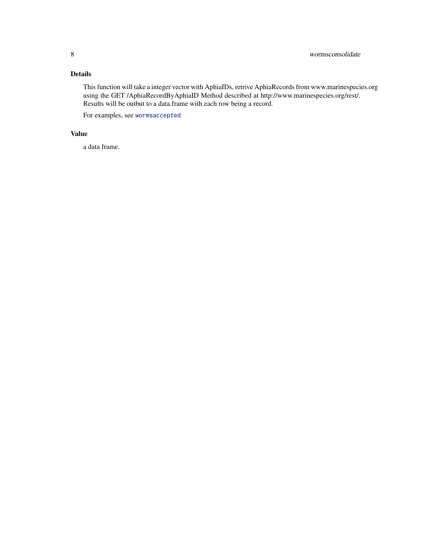#### <span id="page-7-0"></span>Details

This function will take a integer vector with AphiaIDs, retrive AphiaRecords from www.marinespecies.org using the GET /AphiaRecordByAphiaID Method described at http://www.marinespecies.org/rest/. Results will be outbut to a data.frame with each row being a record.

For examples, see [wormsaccepted](#page-2-1)

#### Value